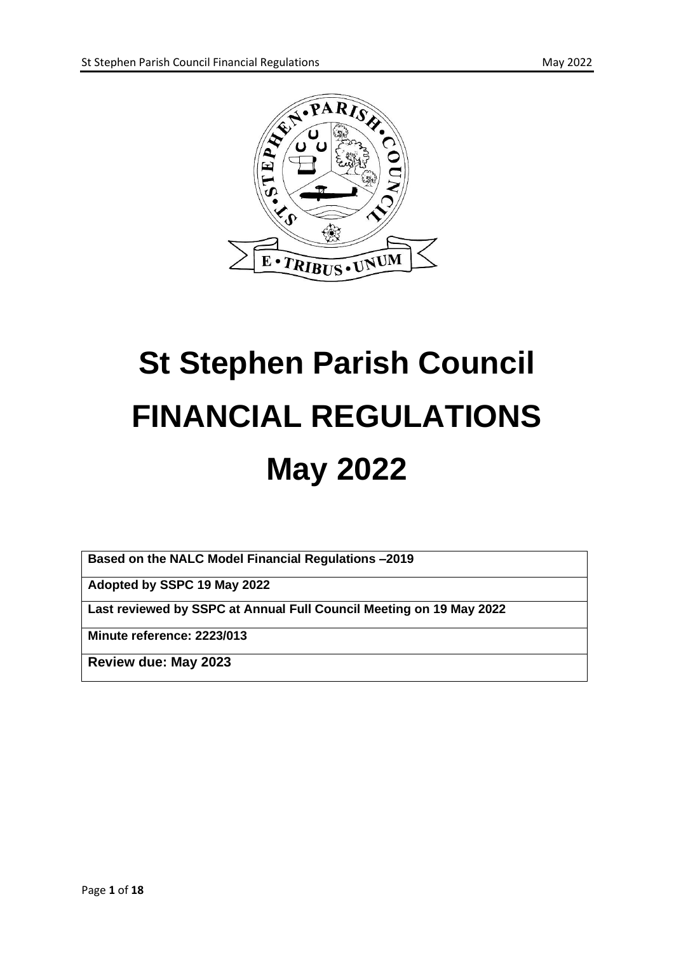



# **St Stephen Parish Council FINANCIAL REGULATIONS May 2022**

**Based on the NALC Model Financial Regulations –2019**

**Adopted by SSPC 19 May 2022**

**Last reviewed by SSPC at Annual Full Council Meeting on 19 May 2022**

**Minute reference: 2223/013**

**Review due: May 2023**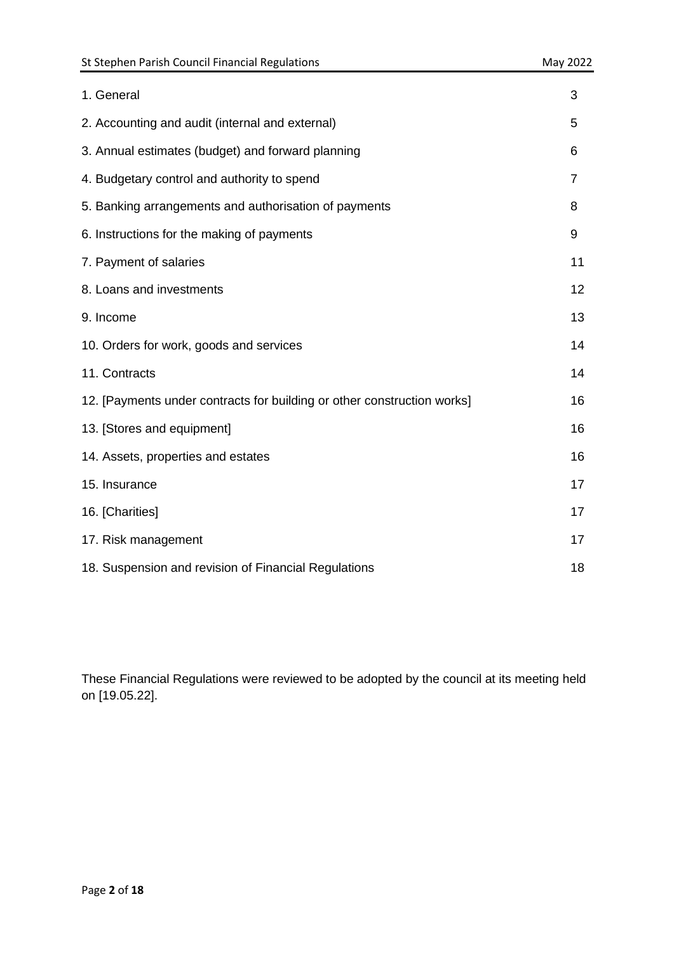| 1. General                                                              | 3  |
|-------------------------------------------------------------------------|----|
| 2. Accounting and audit (internal and external)                         | 5  |
| 3. Annual estimates (budget) and forward planning                       | 6  |
| 4. Budgetary control and authority to spend                             | 7  |
| 5. Banking arrangements and authorisation of payments                   | 8  |
| 6. Instructions for the making of payments                              | 9  |
| 7. Payment of salaries                                                  | 11 |
| 8. Loans and investments                                                | 12 |
| 9. Income                                                               | 13 |
| 10. Orders for work, goods and services                                 | 14 |
| 11. Contracts                                                           | 14 |
| 12. [Payments under contracts for building or other construction works] | 16 |
| 13. [Stores and equipment]                                              | 16 |
| 14. Assets, properties and estates                                      | 16 |
| 15. Insurance                                                           | 17 |
| 16. [Charities]                                                         | 17 |
| 17. Risk management                                                     | 17 |
| 18. Suspension and revision of Financial Regulations                    | 18 |

These Financial Regulations were reviewed to be adopted by the council at its meeting held on [19.05.22].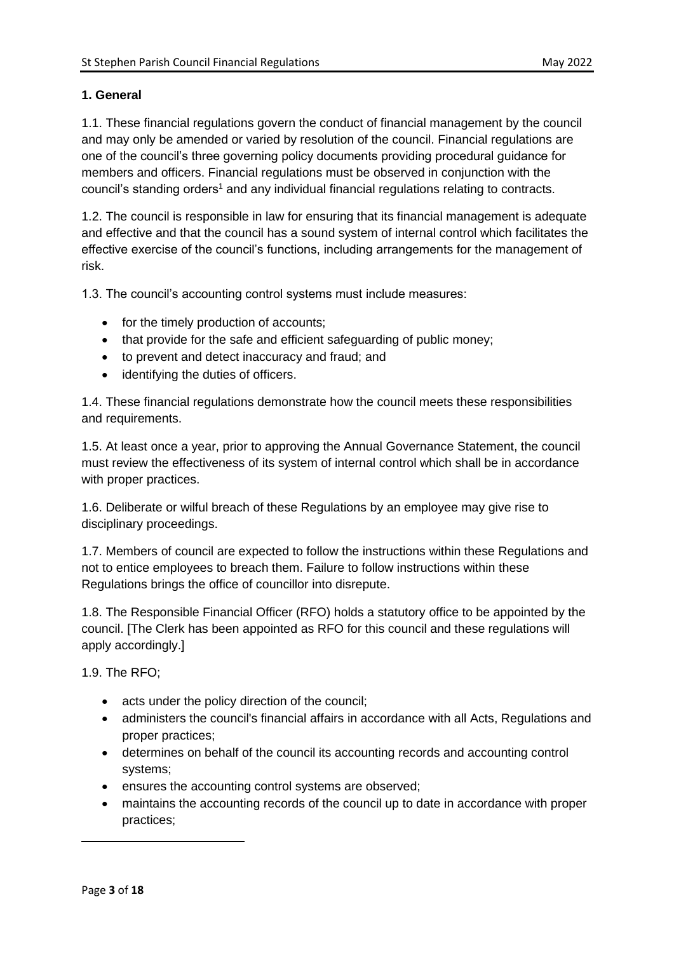## **1. General**

1.1. These financial regulations govern the conduct of financial management by the council and may only be amended or varied by resolution of the council. Financial regulations are one of the council's three governing policy documents providing procedural guidance for members and officers. Financial regulations must be observed in conjunction with the council's standing orders<sup>1</sup> and any individual financial regulations relating to contracts.

1.2. The council is responsible in law for ensuring that its financial management is adequate and effective and that the council has a sound system of internal control which facilitates the effective exercise of the council's functions, including arrangements for the management of risk.

1.3. The council's accounting control systems must include measures:

- for the timely production of accounts;
- that provide for the safe and efficient safeguarding of public money;
- to prevent and detect inaccuracy and fraud; and
- identifying the duties of officers.

1.4. These financial regulations demonstrate how the council meets these responsibilities and requirements.

1.5. At least once a year, prior to approving the Annual Governance Statement, the council must review the effectiveness of its system of internal control which shall be in accordance with proper practices.

1.6. Deliberate or wilful breach of these Regulations by an employee may give rise to disciplinary proceedings.

1.7. Members of council are expected to follow the instructions within these Regulations and not to entice employees to breach them. Failure to follow instructions within these Regulations brings the office of councillor into disrepute.

1.8. The Responsible Financial Officer (RFO) holds a statutory office to be appointed by the council. [The Clerk has been appointed as RFO for this council and these regulations will apply accordingly.]

1.9. The RFO;

- acts under the policy direction of the council;
- administers the council's financial affairs in accordance with all Acts, Regulations and proper practices;
- determines on behalf of the council its accounting records and accounting control systems;
- ensures the accounting control systems are observed;
- maintains the accounting records of the council up to date in accordance with proper practices;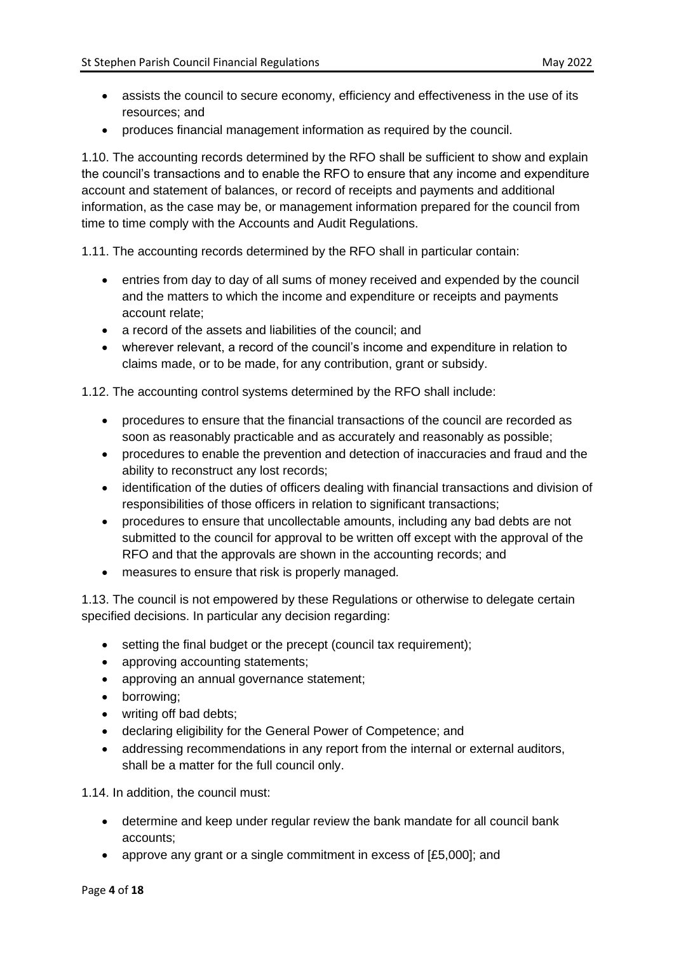- assists the council to secure economy, efficiency and effectiveness in the use of its resources; and
- produces financial management information as required by the council.

1.10. The accounting records determined by the RFO shall be sufficient to show and explain the council's transactions and to enable the RFO to ensure that any income and expenditure account and statement of balances, or record of receipts and payments and additional information, as the case may be, or management information prepared for the council from time to time comply with the Accounts and Audit Regulations.

1.11. The accounting records determined by the RFO shall in particular contain:

- entries from day to day of all sums of money received and expended by the council and the matters to which the income and expenditure or receipts and payments account relate;
- a record of the assets and liabilities of the council; and
- wherever relevant, a record of the council's income and expenditure in relation to claims made, or to be made, for any contribution, grant or subsidy.

1.12. The accounting control systems determined by the RFO shall include:

- procedures to ensure that the financial transactions of the council are recorded as soon as reasonably practicable and as accurately and reasonably as possible;
- procedures to enable the prevention and detection of inaccuracies and fraud and the ability to reconstruct any lost records;
- identification of the duties of officers dealing with financial transactions and division of responsibilities of those officers in relation to significant transactions;
- procedures to ensure that uncollectable amounts, including any bad debts are not submitted to the council for approval to be written off except with the approval of the RFO and that the approvals are shown in the accounting records; and
- measures to ensure that risk is properly managed.

1.13. The council is not empowered by these Regulations or otherwise to delegate certain specified decisions. In particular any decision regarding:

- setting the final budget or the precept (council tax requirement);
- approving accounting statements;
- approving an annual governance statement;
- borrowing;
- writing off bad debts;
- declaring eligibility for the General Power of Competence; and
- addressing recommendations in any report from the internal or external auditors, shall be a matter for the full council only.

1.14. In addition, the council must:

- determine and keep under regular review the bank mandate for all council bank accounts;
- approve any grant or a single commitment in excess of [£5,000]; and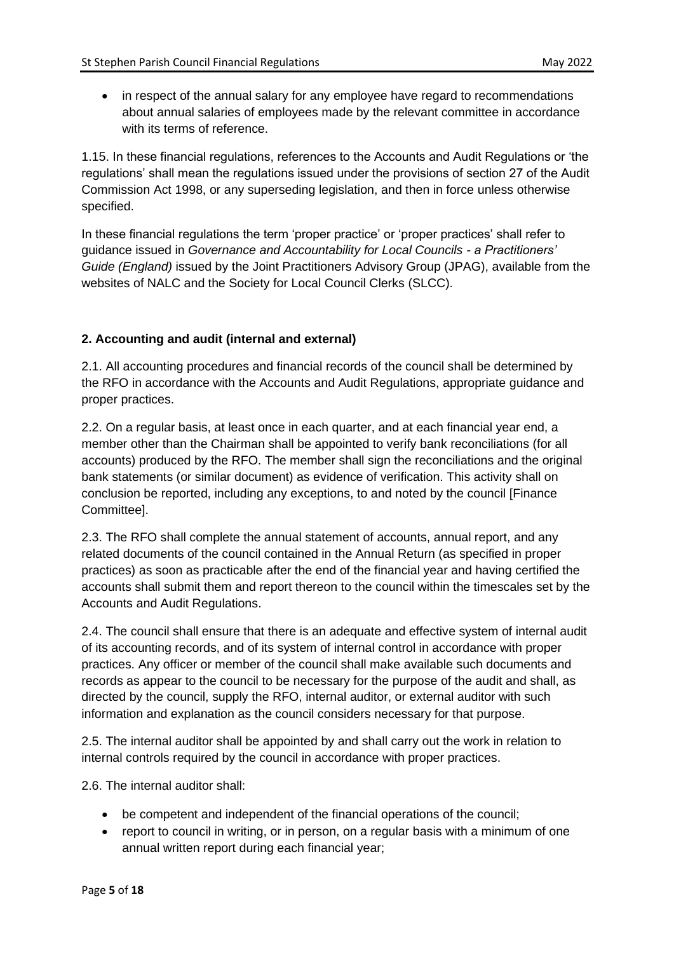• in respect of the annual salary for any employee have regard to recommendations about annual salaries of employees made by the relevant committee in accordance with its terms of reference.

1.15. In these financial regulations, references to the Accounts and Audit Regulations or 'the regulations' shall mean the regulations issued under the provisions of section 27 of the Audit Commission Act 1998, or any superseding legislation, and then in force unless otherwise specified.

In these financial regulations the term 'proper practice' or 'proper practices' shall refer to guidance issued in *Governance and Accountability for Local Councils - a Practitioners' Guide (England)* issued by the Joint Practitioners Advisory Group (JPAG), available from the websites of NALC and the Society for Local Council Clerks (SLCC).

# **2. Accounting and audit (internal and external)**

2.1. All accounting procedures and financial records of the council shall be determined by the RFO in accordance with the Accounts and Audit Regulations, appropriate guidance and proper practices.

2.2. On a regular basis, at least once in each quarter, and at each financial year end, a member other than the Chairman shall be appointed to verify bank reconciliations (for all accounts) produced by the RFO. The member shall sign the reconciliations and the original bank statements (or similar document) as evidence of verification. This activity shall on conclusion be reported, including any exceptions, to and noted by the council [Finance Committee].

2.3. The RFO shall complete the annual statement of accounts, annual report, and any related documents of the council contained in the Annual Return (as specified in proper practices) as soon as practicable after the end of the financial year and having certified the accounts shall submit them and report thereon to the council within the timescales set by the Accounts and Audit Regulations.

2.4. The council shall ensure that there is an adequate and effective system of internal audit of its accounting records, and of its system of internal control in accordance with proper practices. Any officer or member of the council shall make available such documents and records as appear to the council to be necessary for the purpose of the audit and shall, as directed by the council, supply the RFO, internal auditor, or external auditor with such information and explanation as the council considers necessary for that purpose.

2.5. The internal auditor shall be appointed by and shall carry out the work in relation to internal controls required by the council in accordance with proper practices.

2.6. The internal auditor shall:

- be competent and independent of the financial operations of the council;
- report to council in writing, or in person, on a regular basis with a minimum of one annual written report during each financial year;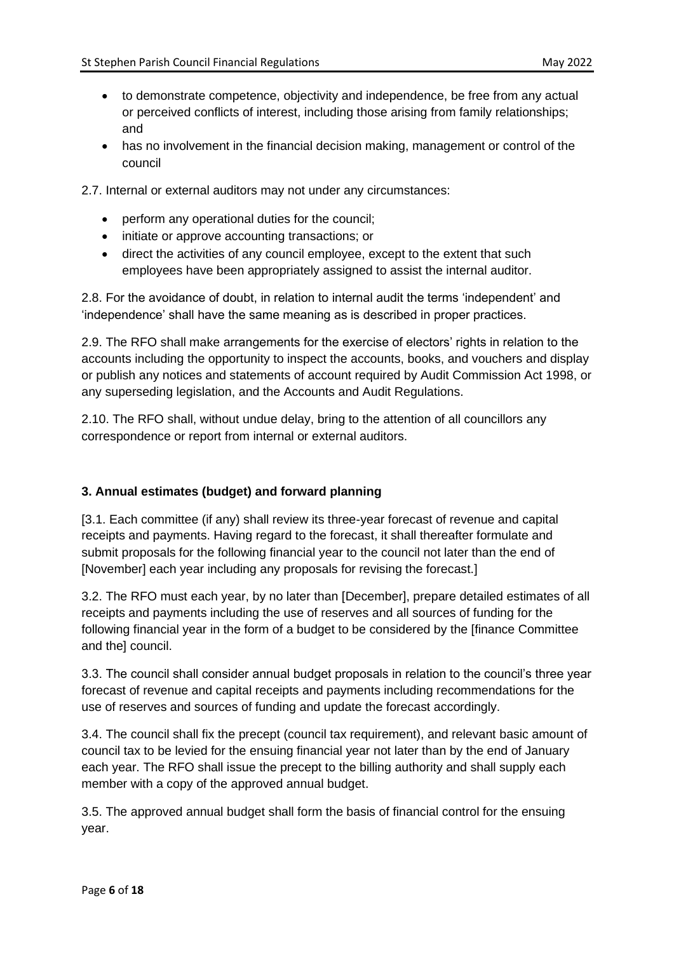- to demonstrate competence, objectivity and independence, be free from any actual or perceived conflicts of interest, including those arising from family relationships; and
- has no involvement in the financial decision making, management or control of the council

2.7. Internal or external auditors may not under any circumstances:

- perform any operational duties for the council;
- initiate or approve accounting transactions; or
- direct the activities of any council employee, except to the extent that such employees have been appropriately assigned to assist the internal auditor.

2.8. For the avoidance of doubt, in relation to internal audit the terms 'independent' and 'independence' shall have the same meaning as is described in proper practices.

2.9. The RFO shall make arrangements for the exercise of electors' rights in relation to the accounts including the opportunity to inspect the accounts, books, and vouchers and display or publish any notices and statements of account required by Audit Commission Act 1998, or any superseding legislation, and the Accounts and Audit Regulations.

2.10. The RFO shall, without undue delay, bring to the attention of all councillors any correspondence or report from internal or external auditors.

# **3. Annual estimates (budget) and forward planning**

[3.1. Each committee (if any) shall review its three-year forecast of revenue and capital receipts and payments. Having regard to the forecast, it shall thereafter formulate and submit proposals for the following financial year to the council not later than the end of [November] each year including any proposals for revising the forecast.]

3.2. The RFO must each year, by no later than [December], prepare detailed estimates of all receipts and payments including the use of reserves and all sources of funding for the following financial year in the form of a budget to be considered by the [finance Committee and the] council.

3.3. The council shall consider annual budget proposals in relation to the council's three year forecast of revenue and capital receipts and payments including recommendations for the use of reserves and sources of funding and update the forecast accordingly.

3.4. The council shall fix the precept (council tax requirement), and relevant basic amount of council tax to be levied for the ensuing financial year not later than by the end of January each year. The RFO shall issue the precept to the billing authority and shall supply each member with a copy of the approved annual budget.

3.5. The approved annual budget shall form the basis of financial control for the ensuing year.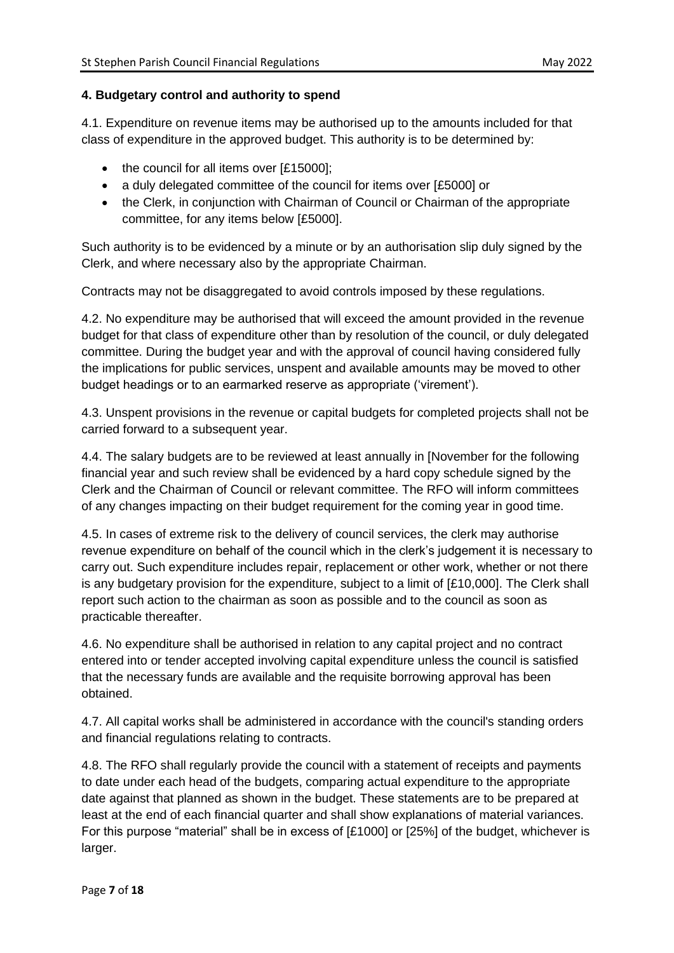# **4. Budgetary control and authority to spend**

4.1. Expenditure on revenue items may be authorised up to the amounts included for that class of expenditure in the approved budget. This authority is to be determined by:

- the council for all items over [£15000];
- a duly delegated committee of the council for items over [£5000] or
- the Clerk, in conjunction with Chairman of Council or Chairman of the appropriate committee, for any items below [£5000].

Such authority is to be evidenced by a minute or by an authorisation slip duly signed by the Clerk, and where necessary also by the appropriate Chairman.

Contracts may not be disaggregated to avoid controls imposed by these regulations.

4.2. No expenditure may be authorised that will exceed the amount provided in the revenue budget for that class of expenditure other than by resolution of the council, or duly delegated committee. During the budget year and with the approval of council having considered fully the implications for public services, unspent and available amounts may be moved to other budget headings or to an earmarked reserve as appropriate ('virement').

4.3. Unspent provisions in the revenue or capital budgets for completed projects shall not be carried forward to a subsequent year.

4.4. The salary budgets are to be reviewed at least annually in [November for the following financial year and such review shall be evidenced by a hard copy schedule signed by the Clerk and the Chairman of Council or relevant committee. The RFO will inform committees of any changes impacting on their budget requirement for the coming year in good time.

4.5. In cases of extreme risk to the delivery of council services, the clerk may authorise revenue expenditure on behalf of the council which in the clerk's judgement it is necessary to carry out. Such expenditure includes repair, replacement or other work, whether or not there is any budgetary provision for the expenditure, subject to a limit of [£10,000]. The Clerk shall report such action to the chairman as soon as possible and to the council as soon as practicable thereafter.

4.6. No expenditure shall be authorised in relation to any capital project and no contract entered into or tender accepted involving capital expenditure unless the council is satisfied that the necessary funds are available and the requisite borrowing approval has been obtained.

4.7. All capital works shall be administered in accordance with the council's standing orders and financial regulations relating to contracts.

4.8. The RFO shall regularly provide the council with a statement of receipts and payments to date under each head of the budgets, comparing actual expenditure to the appropriate date against that planned as shown in the budget. These statements are to be prepared at least at the end of each financial quarter and shall show explanations of material variances. For this purpose "material" shall be in excess of [£1000] or [25%] of the budget, whichever is larger.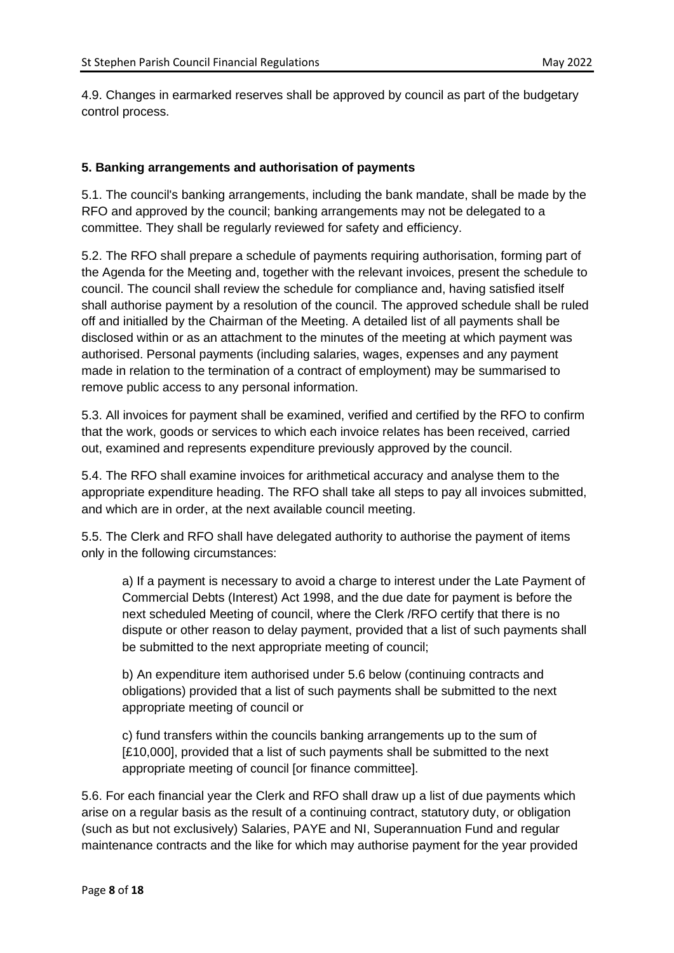4.9. Changes in earmarked reserves shall be approved by council as part of the budgetary control process.

#### **5. Banking arrangements and authorisation of payments**

5.1. The council's banking arrangements, including the bank mandate, shall be made by the RFO and approved by the council; banking arrangements may not be delegated to a committee. They shall be regularly reviewed for safety and efficiency.

5.2. The RFO shall prepare a schedule of payments requiring authorisation, forming part of the Agenda for the Meeting and, together with the relevant invoices, present the schedule to council. The council shall review the schedule for compliance and, having satisfied itself shall authorise payment by a resolution of the council. The approved schedule shall be ruled off and initialled by the Chairman of the Meeting. A detailed list of all payments shall be disclosed within or as an attachment to the minutes of the meeting at which payment was authorised. Personal payments (including salaries, wages, expenses and any payment made in relation to the termination of a contract of employment) may be summarised to remove public access to any personal information.

5.3. All invoices for payment shall be examined, verified and certified by the RFO to confirm that the work, goods or services to which each invoice relates has been received, carried out, examined and represents expenditure previously approved by the council.

5.4. The RFO shall examine invoices for arithmetical accuracy and analyse them to the appropriate expenditure heading. The RFO shall take all steps to pay all invoices submitted, and which are in order, at the next available council meeting.

5.5. The Clerk and RFO shall have delegated authority to authorise the payment of items only in the following circumstances:

a) If a payment is necessary to avoid a charge to interest under the Late Payment of Commercial Debts (Interest) Act 1998, and the due date for payment is before the next scheduled Meeting of council, where the Clerk /RFO certify that there is no dispute or other reason to delay payment, provided that a list of such payments shall be submitted to the next appropriate meeting of council;

b) An expenditure item authorised under 5.6 below (continuing contracts and obligations) provided that a list of such payments shall be submitted to the next appropriate meeting of council or

c) fund transfers within the councils banking arrangements up to the sum of [£10,000], provided that a list of such payments shall be submitted to the next appropriate meeting of council [or finance committee].

5.6. For each financial year the Clerk and RFO shall draw up a list of due payments which arise on a regular basis as the result of a continuing contract, statutory duty, or obligation (such as but not exclusively) Salaries, PAYE and NI, Superannuation Fund and regular maintenance contracts and the like for which may authorise payment for the year provided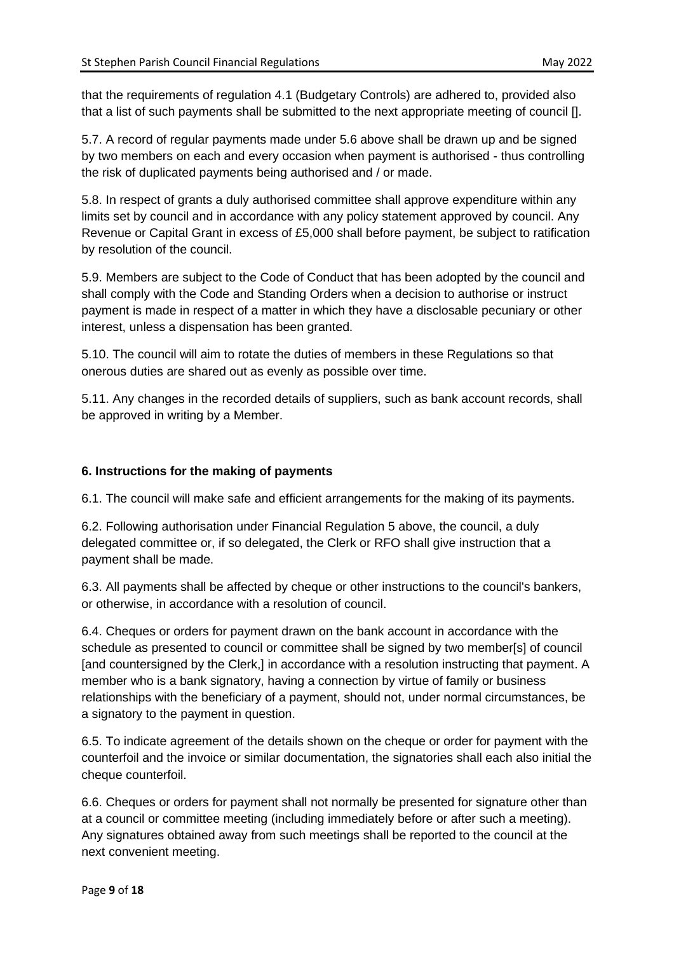that the requirements of regulation 4.1 (Budgetary Controls) are adhered to, provided also that a list of such payments shall be submitted to the next appropriate meeting of council [].

5.7. A record of regular payments made under 5.6 above shall be drawn up and be signed by two members on each and every occasion when payment is authorised - thus controlling the risk of duplicated payments being authorised and / or made.

5.8. In respect of grants a duly authorised committee shall approve expenditure within any limits set by council and in accordance with any policy statement approved by council. Any Revenue or Capital Grant in excess of £5,000 shall before payment, be subject to ratification by resolution of the council.

5.9. Members are subject to the Code of Conduct that has been adopted by the council and shall comply with the Code and Standing Orders when a decision to authorise or instruct payment is made in respect of a matter in which they have a disclosable pecuniary or other interest, unless a dispensation has been granted.

5.10. The council will aim to rotate the duties of members in these Regulations so that onerous duties are shared out as evenly as possible over time.

5.11. Any changes in the recorded details of suppliers, such as bank account records, shall be approved in writing by a Member.

# **6. Instructions for the making of payments**

6.1. The council will make safe and efficient arrangements for the making of its payments.

6.2. Following authorisation under Financial Regulation 5 above, the council, a duly delegated committee or, if so delegated, the Clerk or RFO shall give instruction that a payment shall be made.

6.3. All payments shall be affected by cheque or other instructions to the council's bankers, or otherwise, in accordance with a resolution of council.

6.4. Cheques or orders for payment drawn on the bank account in accordance with the schedule as presented to council or committee shall be signed by two member[s] of council [and countersigned by the Clerk,] in accordance with a resolution instructing that payment. A member who is a bank signatory, having a connection by virtue of family or business relationships with the beneficiary of a payment, should not, under normal circumstances, be a signatory to the payment in question.

6.5. To indicate agreement of the details shown on the cheque or order for payment with the counterfoil and the invoice or similar documentation, the signatories shall each also initial the cheque counterfoil.

6.6. Cheques or orders for payment shall not normally be presented for signature other than at a council or committee meeting (including immediately before or after such a meeting). Any signatures obtained away from such meetings shall be reported to the council at the next convenient meeting.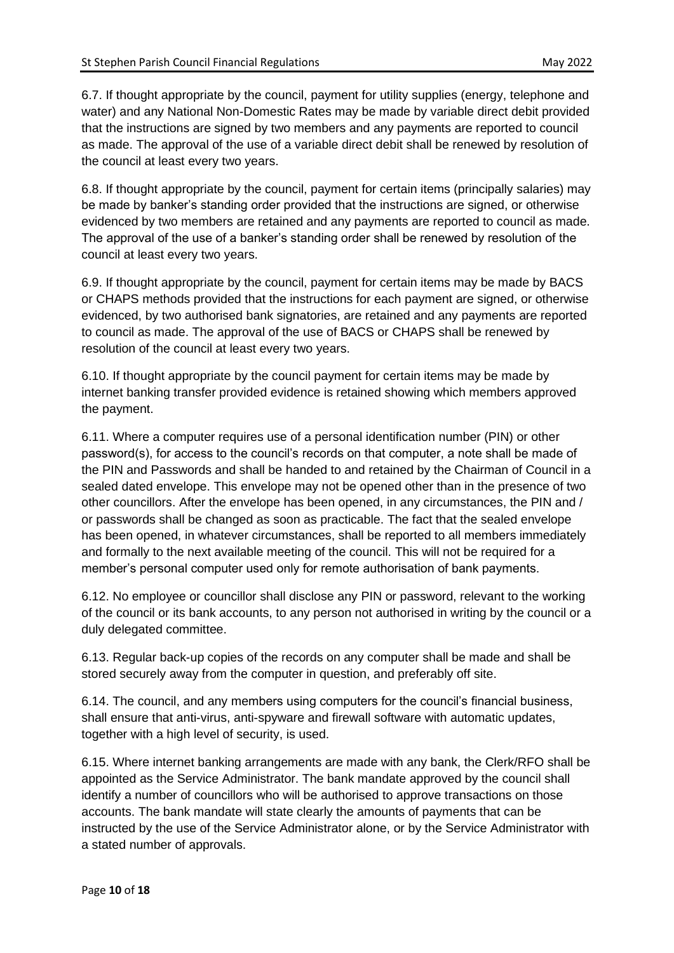6.7. If thought appropriate by the council, payment for utility supplies (energy, telephone and water) and any National Non-Domestic Rates may be made by variable direct debit provided that the instructions are signed by two members and any payments are reported to council as made. The approval of the use of a variable direct debit shall be renewed by resolution of the council at least every two years.

6.8. If thought appropriate by the council, payment for certain items (principally salaries) may be made by banker's standing order provided that the instructions are signed, or otherwise evidenced by two members are retained and any payments are reported to council as made. The approval of the use of a banker's standing order shall be renewed by resolution of the council at least every two years.

6.9. If thought appropriate by the council, payment for certain items may be made by BACS or CHAPS methods provided that the instructions for each payment are signed, or otherwise evidenced, by two authorised bank signatories, are retained and any payments are reported to council as made. The approval of the use of BACS or CHAPS shall be renewed by resolution of the council at least every two years.

6.10. If thought appropriate by the council payment for certain items may be made by internet banking transfer provided evidence is retained showing which members approved the payment.

6.11. Where a computer requires use of a personal identification number (PIN) or other password(s), for access to the council's records on that computer, a note shall be made of the PIN and Passwords and shall be handed to and retained by the Chairman of Council in a sealed dated envelope. This envelope may not be opened other than in the presence of two other councillors. After the envelope has been opened, in any circumstances, the PIN and / or passwords shall be changed as soon as practicable. The fact that the sealed envelope has been opened, in whatever circumstances, shall be reported to all members immediately and formally to the next available meeting of the council. This will not be required for a member's personal computer used only for remote authorisation of bank payments.

6.12. No employee or councillor shall disclose any PIN or password, relevant to the working of the council or its bank accounts, to any person not authorised in writing by the council or a duly delegated committee.

6.13. Regular back-up copies of the records on any computer shall be made and shall be stored securely away from the computer in question, and preferably off site.

6.14. The council, and any members using computers for the council's financial business, shall ensure that anti-virus, anti-spyware and firewall software with automatic updates, together with a high level of security, is used.

6.15. Where internet banking arrangements are made with any bank, the Clerk/RFO shall be appointed as the Service Administrator. The bank mandate approved by the council shall identify a number of councillors who will be authorised to approve transactions on those accounts. The bank mandate will state clearly the amounts of payments that can be instructed by the use of the Service Administrator alone, or by the Service Administrator with a stated number of approvals.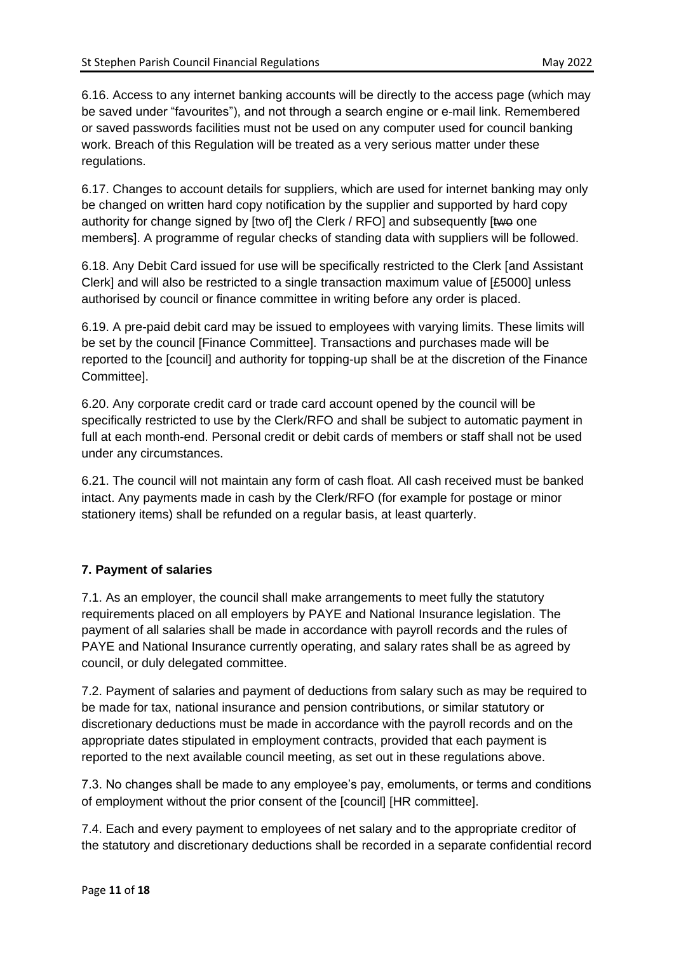6.16. Access to any internet banking accounts will be directly to the access page (which may be saved under "favourites"), and not through a search engine or e-mail link. Remembered or saved passwords facilities must not be used on any computer used for council banking work. Breach of this Regulation will be treated as a very serious matter under these regulations.

6.17. Changes to account details for suppliers, which are used for internet banking may only be changed on written hard copy notification by the supplier and supported by hard copy authority for change signed by [two of] the Clerk / RFO] and subsequently [two one members]. A programme of regular checks of standing data with suppliers will be followed.

6.18. Any Debit Card issued for use will be specifically restricted to the Clerk [and Assistant Clerk] and will also be restricted to a single transaction maximum value of [£5000] unless authorised by council or finance committee in writing before any order is placed.

6.19. A pre-paid debit card may be issued to employees with varying limits. These limits will be set by the council [Finance Committee]. Transactions and purchases made will be reported to the [council] and authority for topping-up shall be at the discretion of the Finance Committee].

6.20. Any corporate credit card or trade card account opened by the council will be specifically restricted to use by the Clerk/RFO and shall be subject to automatic payment in full at each month-end. Personal credit or debit cards of members or staff shall not be used under any circumstances.

6.21. The council will not maintain any form of cash float. All cash received must be banked intact. Any payments made in cash by the Clerk/RFO (for example for postage or minor stationery items) shall be refunded on a regular basis, at least quarterly.

# **7. Payment of salaries**

7.1. As an employer, the council shall make arrangements to meet fully the statutory requirements placed on all employers by PAYE and National Insurance legislation. The payment of all salaries shall be made in accordance with payroll records and the rules of PAYE and National Insurance currently operating, and salary rates shall be as agreed by council, or duly delegated committee.

7.2. Payment of salaries and payment of deductions from salary such as may be required to be made for tax, national insurance and pension contributions, or similar statutory or discretionary deductions must be made in accordance with the payroll records and on the appropriate dates stipulated in employment contracts, provided that each payment is reported to the next available council meeting, as set out in these regulations above.

7.3. No changes shall be made to any employee's pay, emoluments, or terms and conditions of employment without the prior consent of the [council] [HR committee].

7.4. Each and every payment to employees of net salary and to the appropriate creditor of the statutory and discretionary deductions shall be recorded in a separate confidential record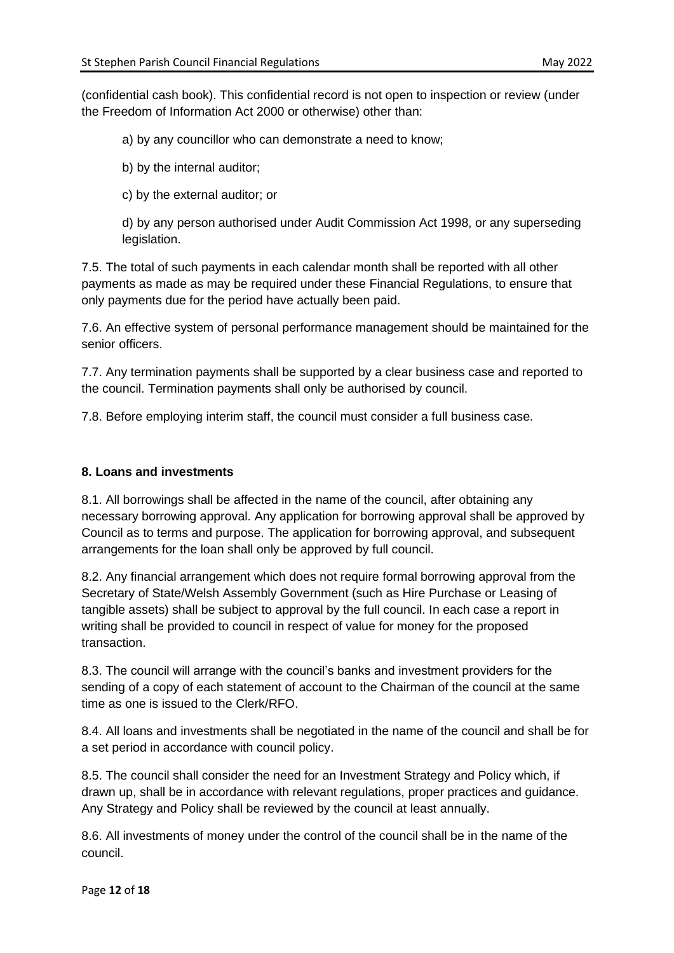(confidential cash book). This confidential record is not open to inspection or review (under the Freedom of Information Act 2000 or otherwise) other than:

a) by any councillor who can demonstrate a need to know;

b) by the internal auditor;

c) by the external auditor; or

d) by any person authorised under Audit Commission Act 1998, or any superseding legislation.

7.5. The total of such payments in each calendar month shall be reported with all other payments as made as may be required under these Financial Regulations, to ensure that only payments due for the period have actually been paid.

7.6. An effective system of personal performance management should be maintained for the senior officers.

7.7. Any termination payments shall be supported by a clear business case and reported to the council. Termination payments shall only be authorised by council.

7.8. Before employing interim staff, the council must consider a full business case.

#### **8. Loans and investments**

8.1. All borrowings shall be affected in the name of the council, after obtaining any necessary borrowing approval. Any application for borrowing approval shall be approved by Council as to terms and purpose. The application for borrowing approval, and subsequent arrangements for the loan shall only be approved by full council.

8.2. Any financial arrangement which does not require formal borrowing approval from the Secretary of State/Welsh Assembly Government (such as Hire Purchase or Leasing of tangible assets) shall be subject to approval by the full council. In each case a report in writing shall be provided to council in respect of value for money for the proposed transaction.

8.3. The council will arrange with the council's banks and investment providers for the sending of a copy of each statement of account to the Chairman of the council at the same time as one is issued to the Clerk/RFO.

8.4. All loans and investments shall be negotiated in the name of the council and shall be for a set period in accordance with council policy.

8.5. The council shall consider the need for an Investment Strategy and Policy which, if drawn up, shall be in accordance with relevant regulations, proper practices and guidance. Any Strategy and Policy shall be reviewed by the council at least annually.

8.6. All investments of money under the control of the council shall be in the name of the council.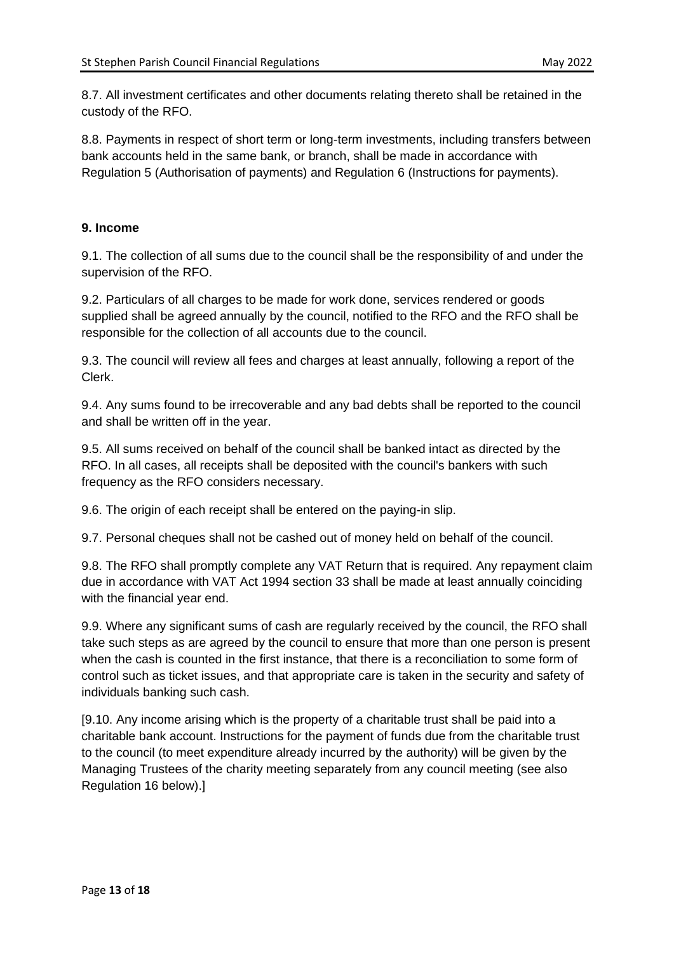8.7. All investment certificates and other documents relating thereto shall be retained in the custody of the RFO.

8.8. Payments in respect of short term or long-term investments, including transfers between bank accounts held in the same bank, or branch, shall be made in accordance with Regulation 5 (Authorisation of payments) and Regulation 6 (Instructions for payments).

## **9. Income**

9.1. The collection of all sums due to the council shall be the responsibility of and under the supervision of the RFO.

9.2. Particulars of all charges to be made for work done, services rendered or goods supplied shall be agreed annually by the council, notified to the RFO and the RFO shall be responsible for the collection of all accounts due to the council.

9.3. The council will review all fees and charges at least annually, following a report of the Clerk.

9.4. Any sums found to be irrecoverable and any bad debts shall be reported to the council and shall be written off in the year.

9.5. All sums received on behalf of the council shall be banked intact as directed by the RFO. In all cases, all receipts shall be deposited with the council's bankers with such frequency as the RFO considers necessary.

9.6. The origin of each receipt shall be entered on the paying-in slip.

9.7. Personal cheques shall not be cashed out of money held on behalf of the council.

9.8. The RFO shall promptly complete any VAT Return that is required. Any repayment claim due in accordance with VAT Act 1994 section 33 shall be made at least annually coinciding with the financial year end.

9.9. Where any significant sums of cash are regularly received by the council, the RFO shall take such steps as are agreed by the council to ensure that more than one person is present when the cash is counted in the first instance, that there is a reconciliation to some form of control such as ticket issues, and that appropriate care is taken in the security and safety of individuals banking such cash.

[9.10. Any income arising which is the property of a charitable trust shall be paid into a charitable bank account. Instructions for the payment of funds due from the charitable trust to the council (to meet expenditure already incurred by the authority) will be given by the Managing Trustees of the charity meeting separately from any council meeting (see also Regulation 16 below).]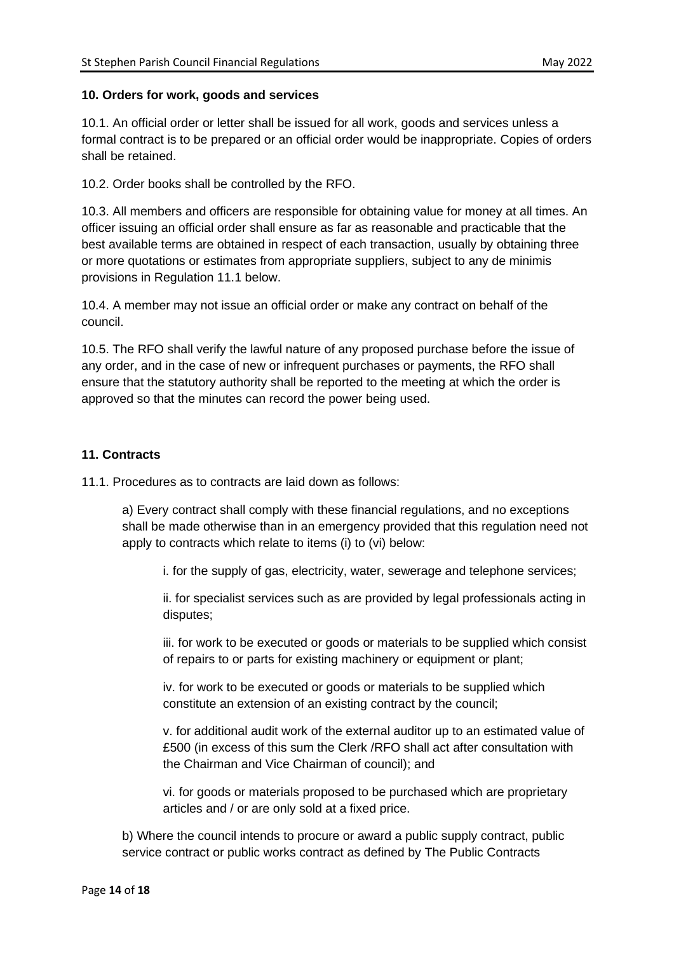## **10. Orders for work, goods and services**

10.1. An official order or letter shall be issued for all work, goods and services unless a formal contract is to be prepared or an official order would be inappropriate. Copies of orders shall be retained.

10.2. Order books shall be controlled by the RFO.

10.3. All members and officers are responsible for obtaining value for money at all times. An officer issuing an official order shall ensure as far as reasonable and practicable that the best available terms are obtained in respect of each transaction, usually by obtaining three or more quotations or estimates from appropriate suppliers, subject to any de minimis provisions in Regulation 11.1 below.

10.4. A member may not issue an official order or make any contract on behalf of the council.

10.5. The RFO shall verify the lawful nature of any proposed purchase before the issue of any order, and in the case of new or infrequent purchases or payments, the RFO shall ensure that the statutory authority shall be reported to the meeting at which the order is approved so that the minutes can record the power being used.

## **11. Contracts**

11.1. Procedures as to contracts are laid down as follows:

a) Every contract shall comply with these financial regulations, and no exceptions shall be made otherwise than in an emergency provided that this regulation need not apply to contracts which relate to items (i) to (vi) below:

i. for the supply of gas, electricity, water, sewerage and telephone services;

ii. for specialist services such as are provided by legal professionals acting in disputes;

iii. for work to be executed or goods or materials to be supplied which consist of repairs to or parts for existing machinery or equipment or plant;

iv. for work to be executed or goods or materials to be supplied which constitute an extension of an existing contract by the council;

v. for additional audit work of the external auditor up to an estimated value of £500 (in excess of this sum the Clerk /RFO shall act after consultation with the Chairman and Vice Chairman of council); and

vi. for goods or materials proposed to be purchased which are proprietary articles and / or are only sold at a fixed price.

b) Where the council intends to procure or award a public supply contract, public service contract or public works contract as defined by The Public Contracts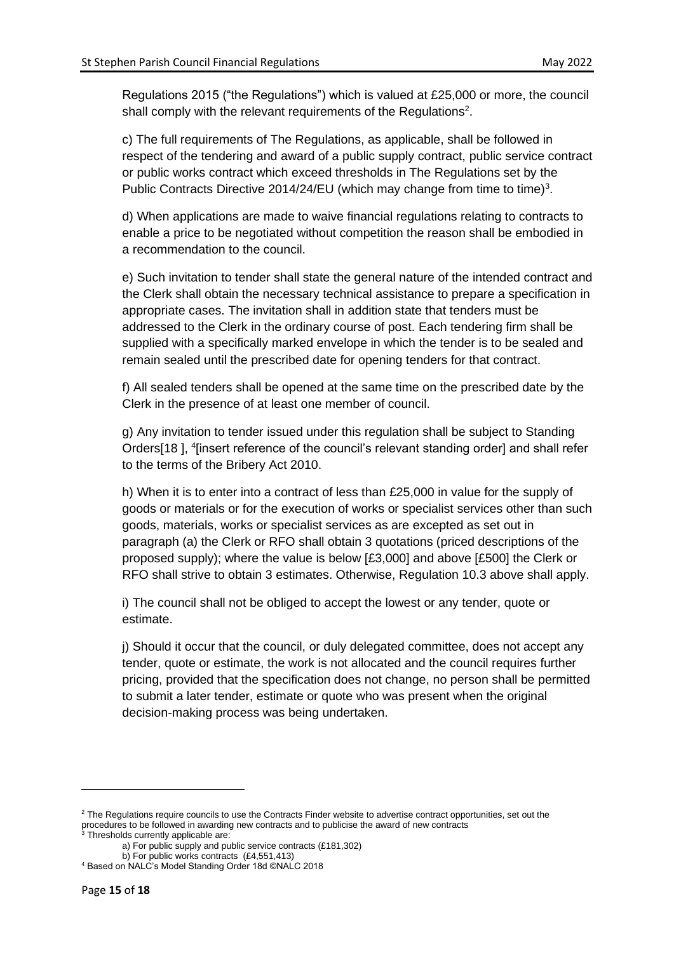Regulations 2015 ("the Regulations") which is valued at £25,000 or more, the council shall comply with the relevant requirements of the Regulations<sup>2</sup>.

c) The full requirements of The Regulations, as applicable, shall be followed in respect of the tendering and award of a public supply contract, public service contract or public works contract which exceed thresholds in The Regulations set by the Public Contracts Directive 2014/24/EU (which may change from time to time)<sup>3</sup>.

d) When applications are made to waive financial regulations relating to contracts to enable a price to be negotiated without competition the reason shall be embodied in a recommendation to the council.

e) Such invitation to tender shall state the general nature of the intended contract and the Clerk shall obtain the necessary technical assistance to prepare a specification in appropriate cases. The invitation shall in addition state that tenders must be addressed to the Clerk in the ordinary course of post. Each tendering firm shall be supplied with a specifically marked envelope in which the tender is to be sealed and remain sealed until the prescribed date for opening tenders for that contract.

f) All sealed tenders shall be opened at the same time on the prescribed date by the Clerk in the presence of at least one member of council.

g) Any invitation to tender issued under this regulation shall be subject to Standing Orders[18], <sup>4</sup>[insert reference of the council's relevant standing order] and shall refer to the terms of the Bribery Act 2010.

h) When it is to enter into a contract of less than £25,000 in value for the supply of goods or materials or for the execution of works or specialist services other than such goods, materials, works or specialist services as are excepted as set out in paragraph (a) the Clerk or RFO shall obtain 3 quotations (priced descriptions of the proposed supply); where the value is below [£3,000] and above [£500] the Clerk or RFO shall strive to obtain 3 estimates. Otherwise, Regulation 10.3 above shall apply.

i) The council shall not be obliged to accept the lowest or any tender, quote or estimate.

j) Should it occur that the council, or duly delegated committee, does not accept any tender, quote or estimate, the work is not allocated and the council requires further pricing, provided that the specification does not change, no person shall be permitted to submit a later tender, estimate or quote who was present when the original decision-making process was being undertaken.

 $2$  The Regulations require councils to use the Contracts Finder website to advertise contract opportunities, set out the procedures to be followed in awarding new contracts and to publicise the award of new contracts

<sup>&</sup>lt;sup>3</sup> Thresholds currently applicable are:

a) For public supply and public service contracts (£181,302)

b) For public works contracts (£4,551,413) <sup>4</sup> Based on NALC's Model Standing Order 18d ©NALC 2018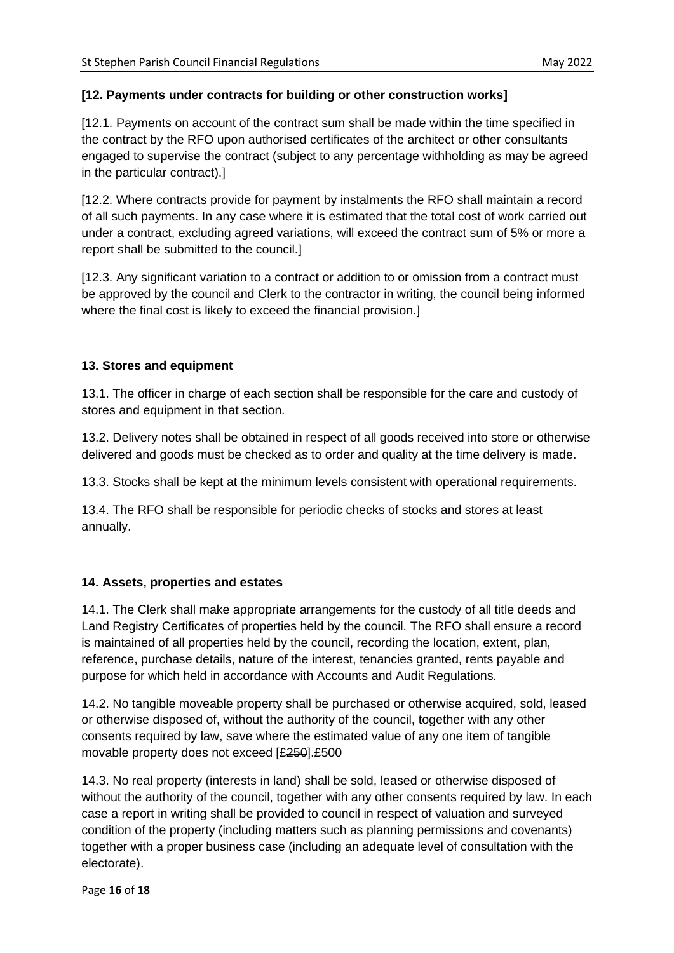# **[12. Payments under contracts for building or other construction works]**

[12.1. Payments on account of the contract sum shall be made within the time specified in the contract by the RFO upon authorised certificates of the architect or other consultants engaged to supervise the contract (subject to any percentage withholding as may be agreed in the particular contract).]

[12.2. Where contracts provide for payment by instalments the RFO shall maintain a record of all such payments. In any case where it is estimated that the total cost of work carried out under a contract, excluding agreed variations, will exceed the contract sum of 5% or more a report shall be submitted to the council.]

[12.3. Any significant variation to a contract or addition to or omission from a contract must be approved by the council and Clerk to the contractor in writing, the council being informed where the final cost is likely to exceed the financial provision.]

# **13. Stores and equipment**

13.1. The officer in charge of each section shall be responsible for the care and custody of stores and equipment in that section.

13.2. Delivery notes shall be obtained in respect of all goods received into store or otherwise delivered and goods must be checked as to order and quality at the time delivery is made.

13.3. Stocks shall be kept at the minimum levels consistent with operational requirements.

13.4. The RFO shall be responsible for periodic checks of stocks and stores at least annually.

# **14. Assets, properties and estates**

14.1. The Clerk shall make appropriate arrangements for the custody of all title deeds and Land Registry Certificates of properties held by the council. The RFO shall ensure a record is maintained of all properties held by the council, recording the location, extent, plan, reference, purchase details, nature of the interest, tenancies granted, rents payable and purpose for which held in accordance with Accounts and Audit Regulations.

14.2. No tangible moveable property shall be purchased or otherwise acquired, sold, leased or otherwise disposed of, without the authority of the council, together with any other consents required by law, save where the estimated value of any one item of tangible movable property does not exceed [£250].£500

14.3. No real property (interests in land) shall be sold, leased or otherwise disposed of without the authority of the council, together with any other consents required by law. In each case a report in writing shall be provided to council in respect of valuation and surveyed condition of the property (including matters such as planning permissions and covenants) together with a proper business case (including an adequate level of consultation with the electorate).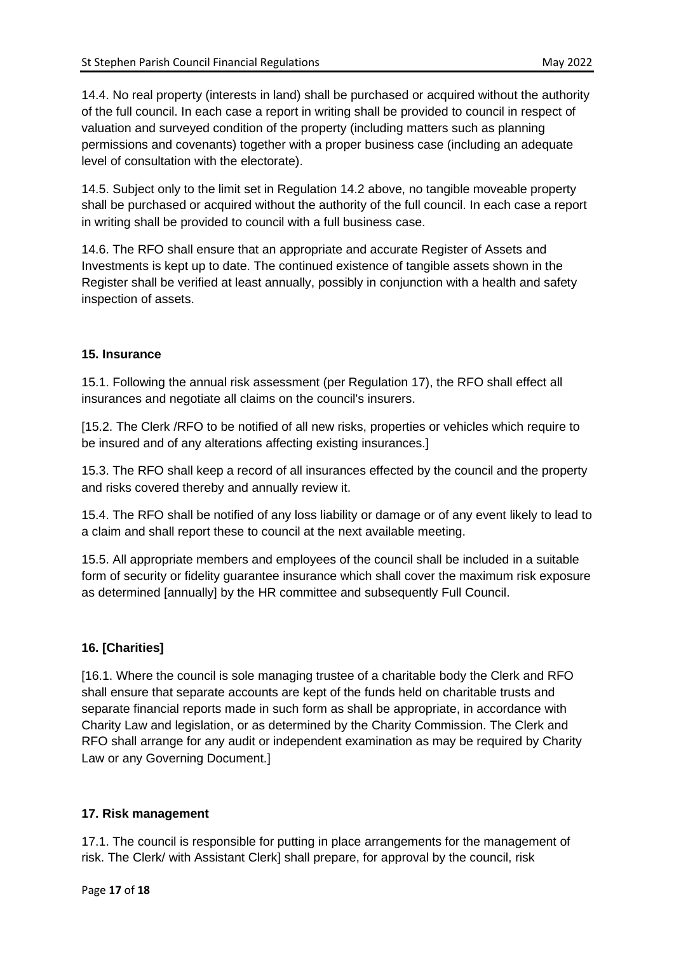14.4. No real property (interests in land) shall be purchased or acquired without the authority of the full council. In each case a report in writing shall be provided to council in respect of valuation and surveyed condition of the property (including matters such as planning permissions and covenants) together with a proper business case (including an adequate level of consultation with the electorate).

14.5. Subject only to the limit set in Regulation 14.2 above, no tangible moveable property shall be purchased or acquired without the authority of the full council. In each case a report in writing shall be provided to council with a full business case.

14.6. The RFO shall ensure that an appropriate and accurate Register of Assets and Investments is kept up to date. The continued existence of tangible assets shown in the Register shall be verified at least annually, possibly in conjunction with a health and safety inspection of assets.

## **15. Insurance**

15.1. Following the annual risk assessment (per Regulation 17), the RFO shall effect all insurances and negotiate all claims on the council's insurers.

[15.2. The Clerk /RFO to be notified of all new risks, properties or vehicles which require to be insured and of any alterations affecting existing insurances.]

15.3. The RFO shall keep a record of all insurances effected by the council and the property and risks covered thereby and annually review it.

15.4. The RFO shall be notified of any loss liability or damage or of any event likely to lead to a claim and shall report these to council at the next available meeting.

15.5. All appropriate members and employees of the council shall be included in a suitable form of security or fidelity guarantee insurance which shall cover the maximum risk exposure as determined [annually] by the HR committee and subsequently Full Council.

# **16. [Charities]**

[16.1. Where the council is sole managing trustee of a charitable body the Clerk and RFO shall ensure that separate accounts are kept of the funds held on charitable trusts and separate financial reports made in such form as shall be appropriate, in accordance with Charity Law and legislation, or as determined by the Charity Commission. The Clerk and RFO shall arrange for any audit or independent examination as may be required by Charity Law or any Governing Document.]

#### **17. Risk management**

17.1. The council is responsible for putting in place arrangements for the management of risk. The Clerk/ with Assistant Clerk] shall prepare, for approval by the council, risk